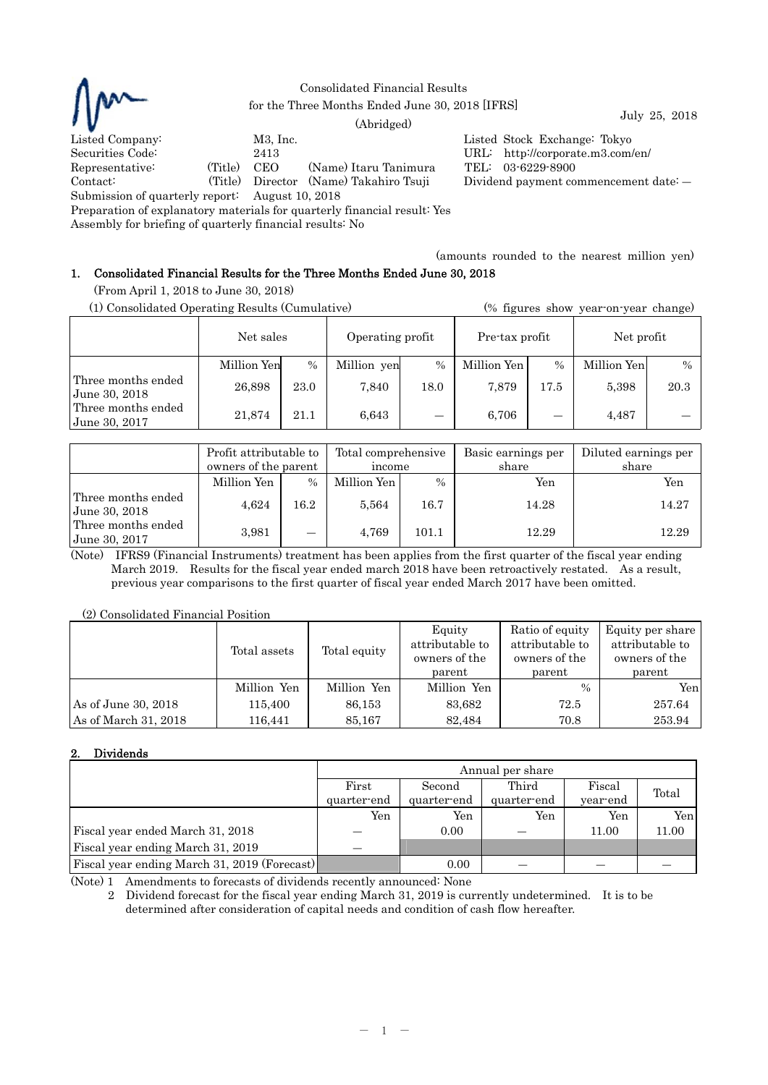

Consolidated Financial Results % for the Three Months Ended June 30, 2018 [IFRS] July 25, 2018 (Abridged)

Listed Company: M3, Inc. Listed Stock Exchange: Tokyo Securities Code: 2413 URL: http://corporate.m3.com/en/ Representative: (Title) CEO (Name) Itaru Tanimura TEL: 03-6229-8900 Contact: (Title) Director (Name) Takahiro Tsuji Dividend payment commencement date: ―

Submission of quarterly report: August 10, 2018

Preparation of explanatory materials for quarterly financial result: Yes

Assembly for briefing of quarterly financial results: No

(amounts rounded to the nearest million yen)

# 1. Consolidated Financial Results for the Three Months Ended June 30, 2018

(From April 1, 2018 to June 30, 2018)

| (1) Consolidated Operating Results (Cumulative) |             |                  |             |                | (% figures show year-on-year change) |               |             |      |
|-------------------------------------------------|-------------|------------------|-------------|----------------|--------------------------------------|---------------|-------------|------|
|                                                 | Net sales   | Operating profit |             | Pre-tax profit |                                      | Net profit    |             |      |
|                                                 | Million Yen | $\frac{0}{0}$    | Million yen | $\%$           | Million Yen                          | $\frac{0}{0}$ | Million Yen | $\%$ |
| Three months ended<br>June 30, 2018             | 26,898      | 23.0             | 7,840       | 18.0           | 7.879                                | 17.5          | 5,398       | 20.3 |
| Three months ended<br>  June 30, 2017           | 21.874      | 21.1             | 6,643       |                | 6.706                                | _             | 4,487       |      |

|                                     | Profit attributable to<br>owners of the parent |               | Total comprehensive<br>income |       | Basic earnings per<br>share | Diluted earnings per<br>share |  |
|-------------------------------------|------------------------------------------------|---------------|-------------------------------|-------|-----------------------------|-------------------------------|--|
|                                     | Million Yen                                    | $\frac{0}{0}$ | Million Yen                   | $\%$  | Yen                         | Yen                           |  |
| Three months ended<br>June 30, 2018 | 4,624                                          | 16.2          | 5,564                         | 16.7  | 14.28                       | 14.27                         |  |
| Three months ended<br>June 30, 2017 | 3,981                                          |               | 4,769                         | 101.1 | 12.29                       | 12.29                         |  |

(Note) IFRS9 (Financial Instruments) treatment has been applies from the first quarter of the fiscal year ending March 2019. Results for the fiscal year ended march 2018 have been retroactively restated. As a result, previous year comparisons to the first quarter of fiscal year ended March 2017 have been omitted.

(2) Consolidated Financial Position

|                       | Total assets | Total equity | Equity<br>attributable to<br>owners of the<br>parent | Ratio of equity<br>attributable to<br>owners of the<br>parent | Equity per share<br>attributable to<br>owners of the<br>parent |
|-----------------------|--------------|--------------|------------------------------------------------------|---------------------------------------------------------------|----------------------------------------------------------------|
|                       | Million Yen  | Million Yen  | Million Yen                                          | $\%$                                                          | Yen                                                            |
| As of June 30, $2018$ | 115,400      | 86,153       | 83,682                                               | 72.5                                                          | 257.64                                                         |
| As of March 31, 2018  | 116,441      | 85,167       | 82,484                                               | 70.8                                                          | 253.94                                                         |

# 2. Dividends

|                                              | Annual per share |             |             |          |       |  |  |
|----------------------------------------------|------------------|-------------|-------------|----------|-------|--|--|
|                                              | First            | Second      | Third       | Fiscal   | Total |  |  |
|                                              | quarter-end      | quarter-end | quarter-end | year-end |       |  |  |
|                                              | Yen              | Yen         | Yen         | Yen      | Yen   |  |  |
| Fiscal year ended March 31, 2018             |                  | 0.00        |             | 11.00    | 11.00 |  |  |
| Fiscal year ending March 31, 2019            |                  |             |             |          |       |  |  |
| Fiscal year ending March 31, 2019 (Forecast) |                  | 0.00        |             |          |       |  |  |

(Note) 1 Amendments to forecasts of dividends recently announced: None

2 Dividend forecast for the fiscal year ending March 31, 2019 is currently undetermined. It is to be determined after consideration of capital needs and condition of cash flow hereafter.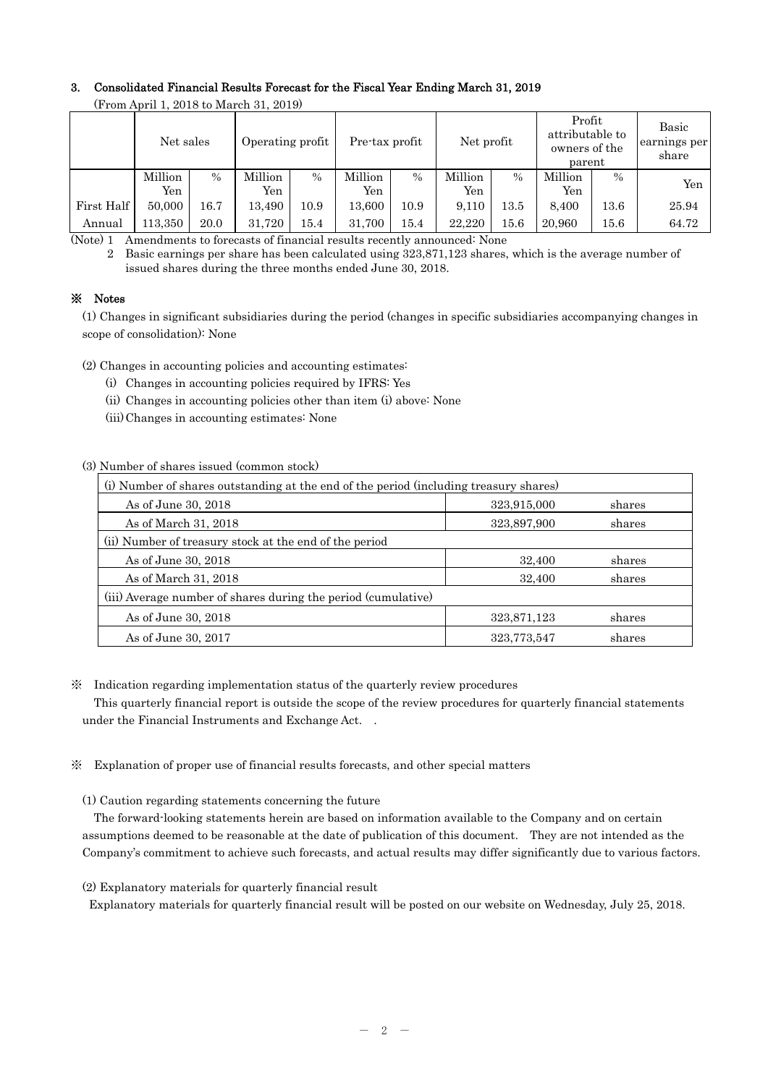# 3. Consolidated Financial Results Forecast for the Fiscal Year Ending March 31, 2019

|            | $\alpha$ roll tribing to be that the $\alpha$ , go for $\alpha$ |          |                  |          |                |      |            |               |                                                      |               |                                |
|------------|-----------------------------------------------------------------|----------|------------------|----------|----------------|------|------------|---------------|------------------------------------------------------|---------------|--------------------------------|
|            | Net sales                                                       |          | Operating profit |          | Pre-tax profit |      | Net profit |               | Profit<br>attributable to<br>owners of the<br>parent |               | Basic<br>earnings per<br>share |
|            | Million                                                         | $\%$     | Million          | $\%$     | Million        | $\%$ | Million    | $\frac{0}{0}$ | Million                                              | $\frac{0}{0}$ | Yen                            |
|            | Yen                                                             |          | Yen              |          | Yen            |      | Yen        |               | Yen                                                  |               |                                |
| First Half | 50,000                                                          | $16.7\,$ | 13,490           | $10.9\,$ | 13,600         | 10.9 | 9,110      | $13.5\,$      | 8,400                                                | 13.6          | 25.94                          |
| Annual     | 113,350                                                         | 20.0     | 31.720           | 15.4     | 31.700         | 15.4 | 22.220     | $15.6\,$      | 20,960                                               | $15.6\,$      | 64.72                          |

(From April 1, 2018 to March 31, 2019)

(Note) 1 Amendments to forecasts of financial results recently announced: None

2 Basic earnings per share has been calculated using 323,871,123 shares, which is the average number of issued shares during the three months ended June 30, 2018.

## ※ Notes

(1) Changes in significant subsidiaries during the period (changes in specific subsidiaries accompanying changes in scope of consolidation): None

(2) Changes in accounting policies and accounting estimates:

- (i) Changes in accounting policies required by IFRS: Yes
- (ii) Changes in accounting policies other than item (i) above: None
- (iii) Changes in accounting estimates: None

### (3) Number of shares issued (common stock)

| (i) Number of shares outstanding at the end of the period (including treasury shares) |             |        |  |  |  |
|---------------------------------------------------------------------------------------|-------------|--------|--|--|--|
| As of June 30, 2018                                                                   | 323,915,000 | shares |  |  |  |
| As of March 31, 2018                                                                  | 323,897,900 | shares |  |  |  |
| (ii) Number of treasury stock at the end of the period                                |             |        |  |  |  |
| As of June 30, 2018                                                                   | 32,400      | shares |  |  |  |
| As of March 31, 2018                                                                  | 32,400      | shares |  |  |  |
| (iii) Average number of shares during the period (cumulative)                         |             |        |  |  |  |
| As of June 30, 2018                                                                   | 323,871,123 | shares |  |  |  |
| As of June 30, 2017                                                                   | 323,773,547 | shares |  |  |  |

### ※ Indication regarding implementation status of the quarterly review procedures

This quarterly financial report is outside the scope of the review procedures for quarterly financial statements under the Financial Instruments and Exchange Act. .

※ Explanation of proper use of financial results forecasts, and other special matters

(1) Caution regarding statements concerning the future

The forward-looking statements herein are based on information available to the Company and on certain assumptions deemed to be reasonable at the date of publication of this document. They are not intended as the Company's commitment to achieve such forecasts, and actual results may differ significantly due to various factors.

(2) Explanatory materials for quarterly financial result

Explanatory materials for quarterly financial result will be posted on our website on Wednesday, July 25, 2018.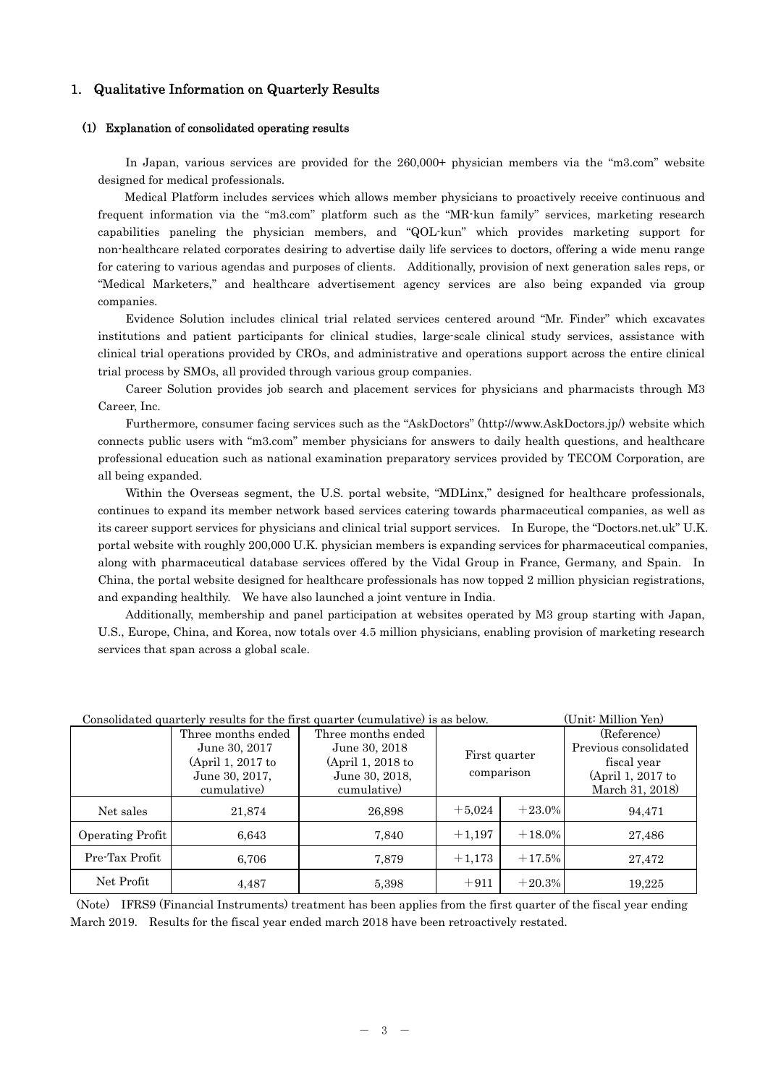## 1. Qualitative Information on Quarterly Results

#### (1) Explanation of consolidated operating results

In Japan, various services are provided for the 260,000+ physician members via the "m3.com" website designed for medical professionals.

 Medical Platform includes services which allows member physicians to proactively receive continuous and frequent information via the "m3.com" platform such as the "MR-kun family" services, marketing research capabilities paneling the physician members, and "QOL-kun" which provides marketing support for non-healthcare related corporates desiring to advertise daily life services to doctors, offering a wide menu range for catering to various agendas and purposes of clients. Additionally, provision of next generation sales reps, or "Medical Marketers," and healthcare advertisement agency services are also being expanded via group companies.

Evidence Solution includes clinical trial related services centered around "Mr. Finder" which excavates institutions and patient participants for clinical studies, large-scale clinical study services, assistance with clinical trial operations provided by CROs, and administrative and operations support across the entire clinical trial process by SMOs, all provided through various group companies.

Career Solution provides job search and placement services for physicians and pharmacists through M3 Career, Inc.

Furthermore, consumer facing services such as the "AskDoctors" (http://www.AskDoctors.jp/) website which connects public users with "m3.com" member physicians for answers to daily health questions, and healthcare professional education such as national examination preparatory services provided by TECOM Corporation, are all being expanded.

Within the Overseas segment, the U.S. portal website, "MDLinx," designed for healthcare professionals, continues to expand its member network based services catering towards pharmaceutical companies, as well as its career support services for physicians and clinical trial support services. In Europe, the "Doctors.net.uk" U.K. portal website with roughly 200,000 U.K. physician members is expanding services for pharmaceutical companies, along with pharmaceutical database services offered by the Vidal Group in France, Germany, and Spain. In China, the portal website designed for healthcare professionals has now topped 2 million physician registrations, and expanding healthily. We have also launched a joint venture in India.

Additionally, membership and panel participation at websites operated by M3 group starting with Japan, U.S., Europe, China, and Korea, now totals over 4.5 million physicians, enabling provision of marketing research services that span across a global scale.

| Consolidated quarterly results for the first quarter (cumulative) is as below. | (Unit: Million Yen) |                    |            |               |                       |
|--------------------------------------------------------------------------------|---------------------|--------------------|------------|---------------|-----------------------|
|                                                                                | Three months ended  | Three months ended |            |               | (Reference)           |
|                                                                                | June 30, 2017       | June 30, 2018      |            |               | Previous consolidated |
|                                                                                | (April 1, 2017 to   | (April 1, 2018 to  |            | First quarter | fiscal year           |
|                                                                                | June 30, 2017,      | June 30, 2018,     | comparison |               | (April 1, 2017 to     |
|                                                                                | cumulative)         | cumulative)        |            |               | March 31, 2018)       |
| Net sales                                                                      | 21,874              | 26,898             | $+5,024$   | $+23.0\%$     | 94,471                |
| Operating Profit                                                               | 6,643               | 7,840              | $+1,197$   | $+18.0\%$     | 27,486                |
| Pre-Tax Profit                                                                 | 6,706               | 7,879              | $+1,173$   | $+17.5%$      | 27,472                |
| Net Profit                                                                     | 4,487               | 5,398              | $+911$     | $+20.3%$      | 19,225                |

Consolidated quarterly results for the first quarter (cumulative) is as below. (Unit: Million Yen)

 (Note) IFRS9 (Financial Instruments) treatment has been applies from the first quarter of the fiscal year ending March 2019. Results for the fiscal year ended march 2018 have been retroactively restated.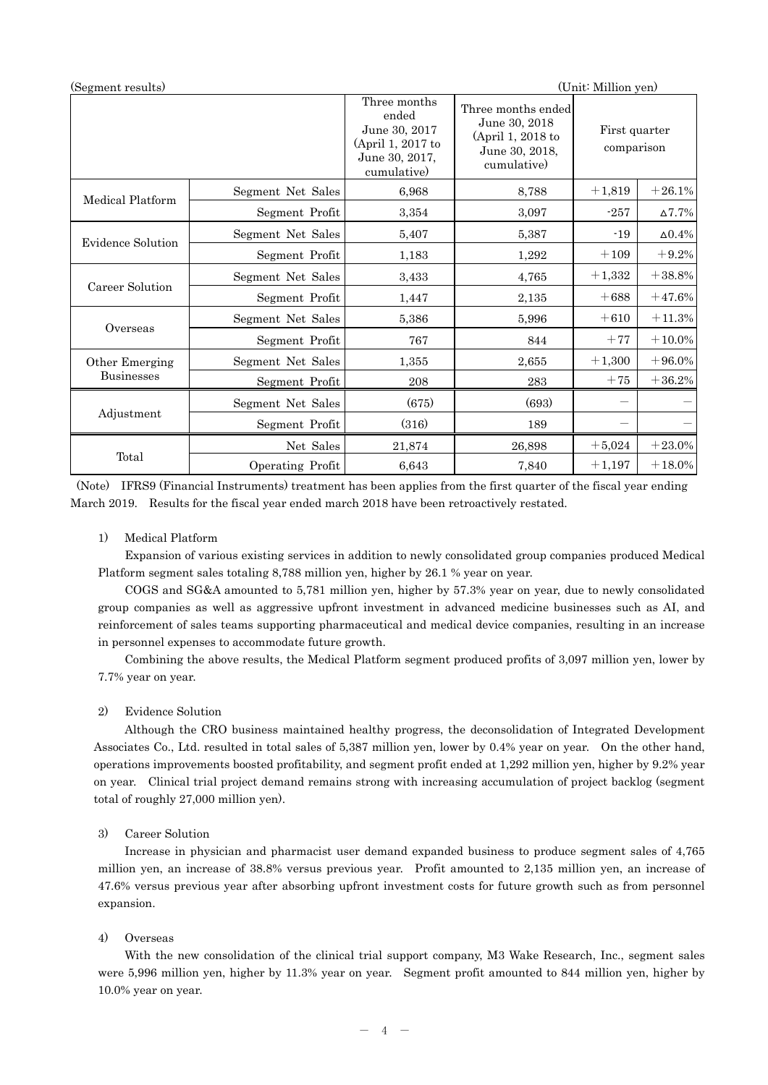| (Segment results)        |                   |                                                                                              |                                                                                           | (Unit: Million yen)         |                |
|--------------------------|-------------------|----------------------------------------------------------------------------------------------|-------------------------------------------------------------------------------------------|-----------------------------|----------------|
|                          |                   | Three months<br>ended<br>June 30, 2017<br>(April 1, 2017 to<br>June 30, 2017,<br>cumulative) | Three months ended<br>June 30, 2018<br>(April 1, 2018 to<br>June 30, 2018,<br>cumulative) | First quarter<br>comparison |                |
| Medical Platform         | Segment Net Sales | 6,968                                                                                        | 8,788                                                                                     | $+1,819$                    | $+26.1\%$      |
|                          | Segment Profit    | 3,354                                                                                        | 3,097                                                                                     | $-257$                      | $\Delta7.7\%$  |
| <b>Evidence Solution</b> | Segment Net Sales | 5,407                                                                                        | 5,387                                                                                     | $-19$                       | $\Delta 0.4\%$ |
|                          | Segment Profit    | 1,183                                                                                        | 1,292                                                                                     | $+109$                      | $+9.2%$        |
| Career Solution          | Segment Net Sales | 3,433                                                                                        | 4,765                                                                                     | $+1,332$                    | $+38.8\%$      |
|                          | Segment Profit    | 1,447                                                                                        | 2,135                                                                                     | $+688$                      | $+47.6%$       |
|                          | Segment Net Sales | 5,386                                                                                        | 5,996                                                                                     | $+610$                      | $+11.3%$       |
| Overseas                 | Segment Profit    | 767                                                                                          | 844                                                                                       | $+77$                       | $+10.0\%$      |
| Other Emerging           | Segment Net Sales | 1,355                                                                                        | 2,655                                                                                     | $+1,300$                    | $+96.0\%$      |
| <b>Businesses</b>        | Segment Profit    | 208                                                                                          | 283                                                                                       | $+75$                       | $+36.2%$       |
|                          | Segment Net Sales | (675)                                                                                        | (693)                                                                                     |                             |                |
| Adjustment               | Segment Profit    | (316)                                                                                        | 189                                                                                       |                             |                |
|                          | Net Sales         | 21,874                                                                                       | 26,898                                                                                    | $+5,024$                    | $+23.0\%$      |
| Total                    | Operating Profit  | 6,643                                                                                        | 7,840                                                                                     | $+1,197$                    | $+18.0\%$      |

 (Note) IFRS9 (Financial Instruments) treatment has been applies from the first quarter of the fiscal year ending March 2019. Results for the fiscal year ended march 2018 have been retroactively restated.

### 1) Medical Platform

Expansion of various existing services in addition to newly consolidated group companies produced Medical Platform segment sales totaling 8,788 million yen, higher by 26.1 % year on year.

 COGS and SG&A amounted to 5,781 million yen, higher by 57.3% year on year, due to newly consolidated group companies as well as aggressive upfront investment in advanced medicine businesses such as AI, and reinforcement of sales teams supporting pharmaceutical and medical device companies, resulting in an increase in personnel expenses to accommodate future growth.

 Combining the above results, the Medical Platform segment produced profits of 3,097 million yen, lower by 7.7% year on year.

#### 2) Evidence Solution

Although the CRO business maintained healthy progress, the deconsolidation of Integrated Development Associates Co., Ltd. resulted in total sales of 5,387 million yen, lower by 0.4% year on year. On the other hand, operations improvements boosted profitability, and segment profit ended at 1,292 million yen, higher by 9.2% year on year. Clinical trial project demand remains strong with increasing accumulation of project backlog (segment total of roughly 27,000 million yen).

#### 3) Career Solution

Increase in physician and pharmacist user demand expanded business to produce segment sales of 4,765 million yen, an increase of 38.8% versus previous year. Profit amounted to 2,135 million yen, an increase of 47.6% versus previous year after absorbing upfront investment costs for future growth such as from personnel expansion.

### 4) Overseas

With the new consolidation of the clinical trial support company, M3 Wake Research, Inc., segment sales were 5,996 million yen, higher by 11.3% year on year. Segment profit amounted to 844 million yen, higher by 10.0% year on year.